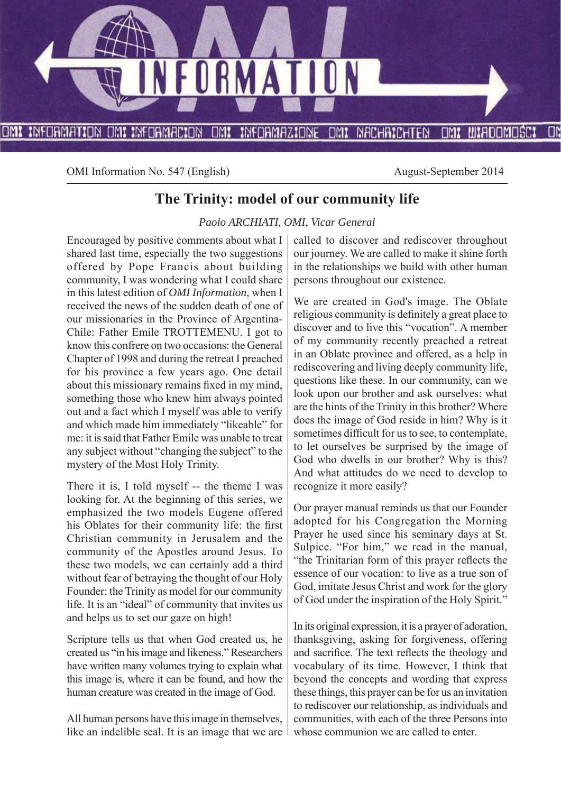

OMI Information No. 547 (English) August-September 2014

## **The Trinity: model of our community life**

*Paolo ARCHIATI, OMI, Vicar General*

Encouraged by positive comments about what I shared last time, especially the two suggestions offered by Pope Francis about building community, I was wondering what I could share in this latest edition of *OMI Information*, when I received the news of the sudden death of one of our missionaries in the Province of Argentina-Chile: Father Emile TROTTEMENU. I got to know this confrere on two occasions: the General Chapter of 1998 and during the retreat I preached for his province a few years ago. One detail about this missionary remains fixed in my mind, something those who knew him always pointed out and a fact which I myself was able to verify and which made him immediately "likeable" for me: it is said that Father Emile was unable to treat any subject without "changing the subject" to the mystery of the Most Holy Trinity.

There it is, I told myself -- the theme I was looking for. At the beginning of this series, we emphasized the two models Eugene offered his Oblates for their community life: the first Christian community in Jerusalem and the community of the Apostles around Jesus. To these two models, we can certainly add a third without fear of betraying the thought of our Holy Founder: the Trinity as model for our community life. It is an "ideal" of community that invites us and helps us to set our gaze on high!

Scripture tells us that when God created us, he created us "in his image and likeness." Researchers have written many volumes trying to explain what this image is, where it can be found, and how the human creature was created in the image of God.

All human persons have this image in themselves, like an indelible seal. It is an image that we are called to discover and rediscover throughout our journey. We are called to make it shine forth in the relationships we build with other human persons throughout our existence.

We are created in God's image. The Oblate religious community is definitely a great place to discover and to live this "vocation". A member of my community recently preached a retreat in an Oblate province and offered, as a help in rediscovering and living deeply community life, questions like these. In our community, can we look upon our brother and ask ourselves: what are the hints of the Trinity in this brother? Where does the image of God reside in him? Why is it sometimes difficult for us to see, to contemplate, to let ourselves be surprised by the image of God who dwells in our brother? Why is this? And what attitudes do we need to develop to recognize it more easily?

Our prayer manual reminds us that our Founder adopted for his Congregation the Morning Prayer he used since his seminary days at St. Sulpice. "For him," we read in the manual, "the Trinitarian form of this prayer reflects the essence of our vocation: to live as a true son of God, imitate Jesus Christ and work for the glory of God under the inspiration of the Holy Spirit."

In its original expression, it is a prayer of adoration, thanksgiving, asking for forgiveness, offering and sacrifice. The text reflects the theology and vocabulary of its time. However, I think that beyond the concepts and wording that express these things, this prayer can be for us an invitation to rediscover our relationship, as individuals and communities, with each of the three Persons into whose communion we are called to enter.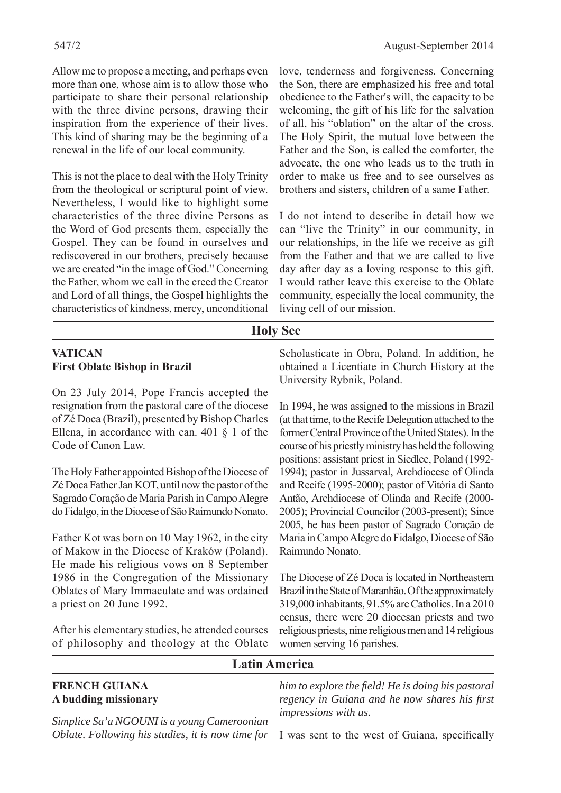Allow me to propose a meeting, and perhaps even more than one, whose aim is to allow those who participate to share their personal relationship with the three divine persons, drawing their inspiration from the experience of their lives. This kind of sharing may be the beginning of a renewal in the life of our local community.

This is not the place to deal with the Holy Trinity from the theological or scriptural point of view. Nevertheless, I would like to highlight some characteristics of the three divine Persons as the Word of God presents them, especially the Gospel. They can be found in ourselves and rediscovered in our brothers, precisely because we are created "in the image of God." Concerning the Father, whom we call in the creed the Creator and Lord of all things, the Gospel highlights the characteristics of kindness, mercy, unconditional

love, tenderness and forgiveness. Concerning the Son, there are emphasized his free and total obedience to the Father's will, the capacity to be welcoming, the gift of his life for the salvation of all, his "oblation" on the altar of the cross. The Holy Spirit, the mutual love between the Father and the Son, is called the comforter, the advocate, the one who leads us to the truth in order to make us free and to see ourselves as brothers and sisters, children of a same Father.

I do not intend to describe in detail how we can "live the Trinity" in our community, in our relationships, in the life we receive as gift from the Father and that we are called to live day after day as a loving response to this gift. I would rather leave this exercise to the Oblate community, especially the local community, the  $\cdot$   $\cdot$   $\cdot$   $\cdot$   $\cdot$   $\cdot$   $\cdot$   $\cdot$ 

| characteristics of kindness, mercy, unconditional   flying cell of our mission.                                                                                                                                    |                                                                                                                                                                                                                                                                                           |
|--------------------------------------------------------------------------------------------------------------------------------------------------------------------------------------------------------------------|-------------------------------------------------------------------------------------------------------------------------------------------------------------------------------------------------------------------------------------------------------------------------------------------|
|                                                                                                                                                                                                                    | <b>Holy See</b>                                                                                                                                                                                                                                                                           |
| <b>VATICAN</b><br><b>First Oblate Bishop in Brazil</b><br>On 23 July 2014, Pope Francis accepted the                                                                                                               | Scholasticate in Obra, Poland. In addition, he<br>obtained a Licentiate in Church History at the<br>University Rybnik, Poland.                                                                                                                                                            |
| resignation from the pastoral care of the diocese<br>of Zé Doca (Brazil), presented by Bishop Charles<br>Ellena, in accordance with can. $401 \S 1$ of the<br>Code of Canon Law.                                   | In 1994, he was assigned to the missions in Brazil<br>(at that time, to the Recife Delegation attached to the<br>former Central Province of the United States). In the<br>course of his priestly ministry has held the following<br>positions: assistant priest in Siedlce, Poland (1992- |
| The Holy Father appointed Bishop of the Diocese of<br>Zé Doca Father Jan KOT, until now the pastor of the<br>Sagrado Coração de Maria Parish in Campo Alegre<br>do Fidalgo, in the Diocese of São Raimundo Nonato. | 1994); pastor in Jussarval, Archdiocese of Olinda<br>and Recife (1995-2000); pastor of Vitória di Santo<br>Antão, Archdiocese of Olinda and Recife (2000-<br>2005); Provincial Councilor (2003-present); Since<br>2005, he has been pastor of Sagrado Coração de                          |
| Father Kot was born on 10 May 1962, in the city<br>of Makow in the Diocese of Kraków (Poland).<br>He made his religious vows on 8 September                                                                        | Maria in Campo Alegre do Fidalgo, Diocese of São<br>Raimundo Nonato.                                                                                                                                                                                                                      |
| 1986 in the Congregation of the Missionary<br>Oblates of Mary Immaculate and was ordained<br>a priest on 20 June 1992.                                                                                             | The Diocese of Zé Doca is located in Northeastern<br>Brazil in the State of Maranhão. Of the approximately<br>319,000 inhabitants, 91.5% are Catholics. In a 2010<br>census, there were 20 diocesan priests and two                                                                       |
| After his elementary studies, he attended courses<br>of philosophy and theology at the Oblate                                                                                                                      | religious priests, nine religious men and 14 religious<br>women serving 16 parishes.                                                                                                                                                                                                      |
|                                                                                                                                                                                                                    | <b>Latin America</b>                                                                                                                                                                                                                                                                      |
| <b>FRENCH GUIANA</b>                                                                                                                                                                                               | him to explore the field! He is doing his pastoral                                                                                                                                                                                                                                        |

# **A budding missionary**

*Simplice Sa'a NGOUNI is a young Cameroonian Oblate. Following his studies, it is now time for*  $\vert$  I was sent to the west of Guiana, specifically

*regency in Guiana and he now shares his first impressions with us.*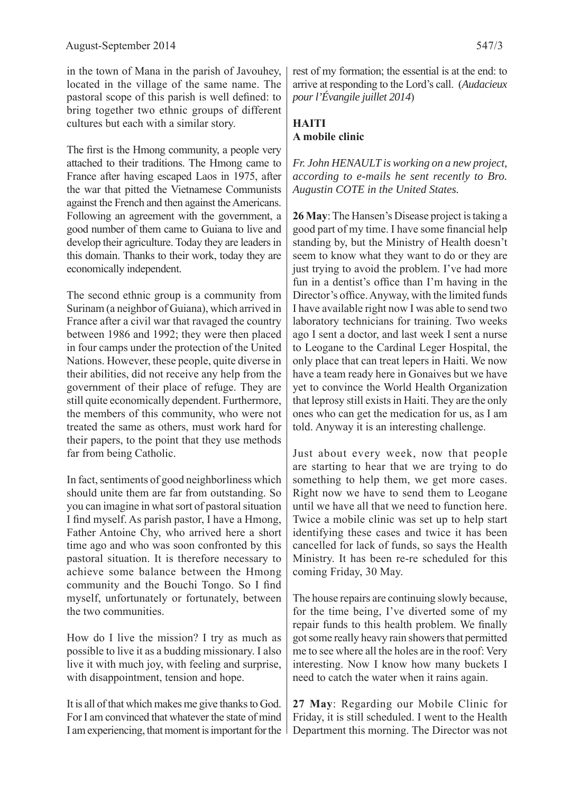in the town of Mana in the parish of Javouhey, located in the village of the same name. The pastoral scope of this parish is well defined: to bring together two ethnic groups of different cultures but each with a similar story.

The first is the Hmong community, a people very attached to their traditions. The Hmong came to France after having escaped Laos in 1975, after the war that pitted the Vietnamese Communists against the French and then against the Americans. Following an agreement with the government, a good number of them came to Guiana to live and develop their agriculture. Today they are leaders in this domain. Thanks to their work, today they are economically independent.

The second ethnic group is a community from Surinam (a neighbor of Guiana), which arrived in France after a civil war that ravaged the country between 1986 and 1992; they were then placed in four camps under the protection of the United Nations. However, these people, quite diverse in their abilities, did not receive any help from the government of their place of refuge. They are still quite economically dependent. Furthermore, the members of this community, who were not treated the same as others, must work hard for their papers, to the point that they use methods far from being Catholic.

In fact, sentiments of good neighborliness which should unite them are far from outstanding. So you can imagine in what sort of pastoral situation I find myself. As parish pastor, I have a Hmong, Father Antoine Chy, who arrived here a short time ago and who was soon confronted by this pastoral situation. It is therefore necessary to achieve some balance between the Hmong community and the Bouchi Tongo. So I find myself, unfortunately or fortunately, between the two communities.

How do I live the mission? I try as much as possible to live it as a budding missionary. I also live it with much joy, with feeling and surprise, with disappointment, tension and hope.

It is all of that which makes me give thanks to God. For I am convinced that whatever the state of mind I am experiencing, that moment is important for the

rest of my formation; the essential is at the end: to arrive at responding to the Lord's call. (*Audacieux pour l'Évangile juillet 2014*)

### **HAITI A mobile clinic**

*Fr. John HENAULT is working on a new project, according to e-mails he sent recently to Bro. Augustin COTE in the United States.*

**26 May**: The Hansen's Disease project is taking a good part of my time. I have some financial help standing by, but the Ministry of Health doesn't seem to know what they want to do or they are just trying to avoid the problem. I've had more fun in a dentist's office than I'm having in the Director's office. Anyway, with the limited funds I have available right now I was able to send two laboratory technicians for training. Two weeks ago I sent a doctor, and last week I sent a nurse to Leogane to the Cardinal Leger Hospital, the only place that can treat lepers in Haiti. We now have a team ready here in Gonaives but we have yet to convince the World Health Organization that leprosy still exists in Haiti. They are the only ones who can get the medication for us, as I am told. Anyway it is an interesting challenge.

Just about every week, now that people are starting to hear that we are trying to do something to help them, we get more cases. Right now we have to send them to Leogane until we have all that we need to function here. Twice a mobile clinic was set up to help start identifying these cases and twice it has been cancelled for lack of funds, so says the Health Ministry. It has been re-re scheduled for this coming Friday, 30 May.

The house repairs are continuing slowly because, for the time being, I've diverted some of my repair funds to this health problem. We finally got some really heavy rain showers that permitted me to see where all the holes are in the roof: Very interesting. Now I know how many buckets I need to catch the water when it rains again.

**27 May**: Regarding our Mobile Clinic for Friday, it is still scheduled. I went to the Health Department this morning. The Director was not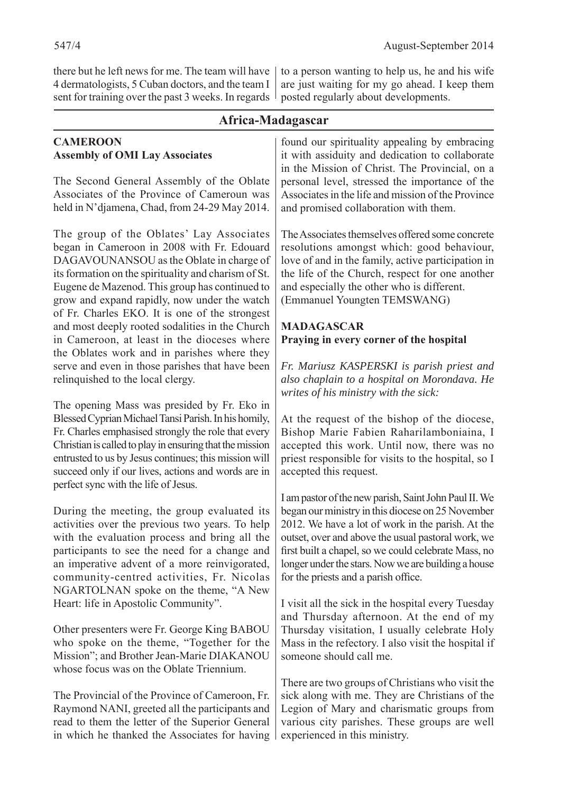there but he left news for me. The team will have 4 dermatologists, 5 Cuban doctors, and the team I sent for training over the past 3 weeks. In regards

**CAMEROON Assembly of OMI Lay Associates** 

The Second General Asse Associates of the Provinc held in  $N$ 'djamena, Chad, from 2014.

The group of the Oblate began in Cameroon in 20 DAGAVOUNANSOU as the its formation on the spiritual Eugene de Mazenod. This g grow and expand rapidly, now of Fr. Charles EKO. It is and most deeply rooted sod in Cameroon, at least in the Oblates work and in serve and even in those parties relinquished to the local cle

The opening Mass was pro Blessed Cyprian Michael Tans Fr. Charles emphasised strong Christian is called to play in en entrusted to us by Jesus conti succeed only if our lives, act perfect sync with the life of J

During the meeting, the activities over the previous with the evaluation proce participants to see the need an imperative advent of a community-centred acti NGARTOLNAN spoke on Heart: life in Apostolic Con

Other presenters were Fr. George King BABOU who spoke on the theme, "Together for the Mission"; and Brother Jean-Marie DIAKANOU whose focus was on the Oblate Triennium.

The Provincial of the Province of Cameroon, Fr. Raymond NANI, greeted all the participants and read to them the letter of the Superior General in which he thanked the Associates for having to a person wanting to help us, he and his wife are just waiting for my go ahead. I keep them posted regularly about developments.

| Africa-Madagascar                                                                                                                                                         |                                                                                                                                                                                                                                                                                                                                                                              |  |
|---------------------------------------------------------------------------------------------------------------------------------------------------------------------------|------------------------------------------------------------------------------------------------------------------------------------------------------------------------------------------------------------------------------------------------------------------------------------------------------------------------------------------------------------------------------|--|
| sociates<br>embly of the Oblate<br>e of Cameroun was<br>rom 24-29 May 2014.                                                                                               | found our spirituality appealing by embracing<br>it with assiduity and dedication to collaborate<br>in the Mission of Christ. The Provincial, on a<br>personal level, stressed the importance of the<br>Associates in the life and mission of the Province<br>and promised collaboration with them.                                                                          |  |
| es' Lay Associates<br>08 with Fr. Edouard<br>ne Oblate in charge of<br>lity and charism of St.<br>roup has continued to<br>now under the watch                            | The Associates themselves offered some concrete<br>resolutions amongst which: good behaviour,<br>love of and in the family, active participation in<br>the life of the Church, respect for one another<br>and especially the other who is different.<br>(Emmanuel Youngten TEMSWANG)                                                                                         |  |
| one of the strongest<br>dalities in the Church                                                                                                                            | <b>MADAGASCAR</b>                                                                                                                                                                                                                                                                                                                                                            |  |
| the dioceses where                                                                                                                                                        | Praying in every corner of the hospital                                                                                                                                                                                                                                                                                                                                      |  |
| parishes where they<br>rishes that have been<br>ergy.                                                                                                                     | Fr. Mariusz KASPERSKI is parish priest and<br>also chaplain to a hospital on Morondava. He<br>writes of his ministry with the sick:                                                                                                                                                                                                                                          |  |
| esided by Fr. Eko in<br>si Parish. In his homily,<br>igly the role that every<br>is uring that the mission<br>nues; this mission will<br>tions and words are in<br>Jesus. | At the request of the bishop of the diocese,<br>Bishop Marie Fabien Raharilamboniaina, I<br>accepted this work. Until now, there was no<br>priest responsible for visits to the hospital, so I<br>accepted this request.                                                                                                                                                     |  |
| group evaluated its<br>s two years. To help<br>ss and bring all the<br>ed for a change and<br>more reinvigorated,<br>vities, Fr. Nicolas<br>the theme, "A New             | I am pastor of the new parish, Saint John Paul II. We<br>began our ministry in this diocese on 25 November<br>2012. We have a lot of work in the parish. At the<br>outset, over and above the usual pastoral work, we<br>first built a chapel, so we could celebrate Mass, no<br>longer under the stars. Now we are building a house<br>for the priests and a parish office. |  |
| mmunity".                                                                                                                                                                 | I visit all the sick in the hospital every Tuesday                                                                                                                                                                                                                                                                                                                           |  |

and Thursday afternoon. At the end of my Thursday visitation, I usually celebrate Holy Mass in the refectory. I also visit the hospital if someone should call me.

There are two groups of Christians who visit the sick along with me. They are Christians of the Legion of Mary and charismatic groups from various city parishes. These groups are well experienced in this ministry.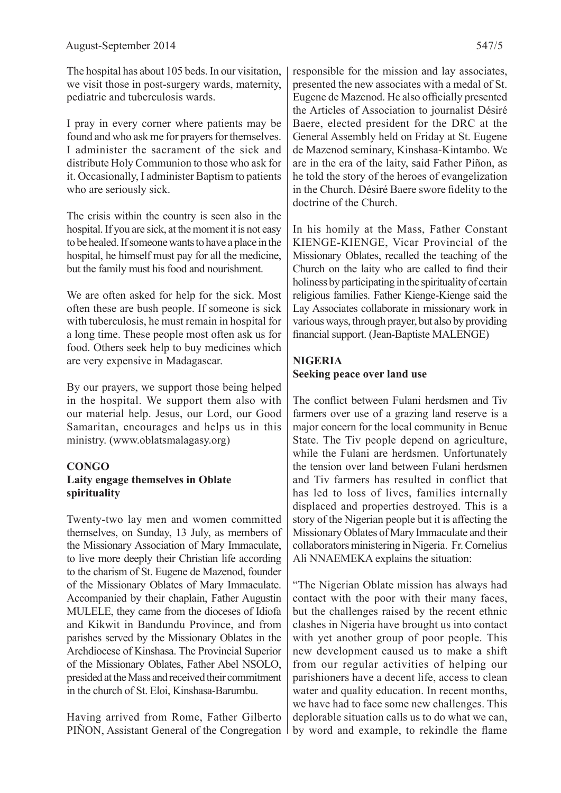The hospital has about 105 beds. In our visitation, we visit those in post-surgery wards, maternity, pediatric and tuberculosis wards.

I pray in every corner where patients may be found and who ask me for prayers for themselves. I administer the sacrament of the sick and distribute Holy Communion to those who ask for it. Occasionally, I administer Baptism to patients who are seriously sick.

The crisis within the country is seen also in the hospital. If you are sick, at the moment it is not easy to be healed. If someone wants to have a place in the hospital, he himself must pay for all the medicine, but the family must his food and nourishment.

We are often asked for help for the sick. Most often these are bush people. If someone is sick with tuberculosis, he must remain in hospital for a long time. These people most often ask us for food. Others seek help to buy medicines which are very expensive in Madagascar.

By our prayers, we support those being helped in the hospital. We support them also with our material help. Jesus, our Lord, our Good Samaritan, encourages and helps us in this ministry. (www.oblatsmalagasy.org)

#### **CONGO Laity engage themselves in Oblate spirituality**

Twenty-two lay men and women committed themselves, on Sunday, 13 July, as members of the Missionary Association of Mary Immaculate, to live more deeply their Christian life according to the charism of St. Eugene de Mazenod, founder of the Missionary Oblates of Mary Immaculate. Accompanied by their chaplain, Father Augustin MULELE, they came from the dioceses of Idiofa and Kikwit in Bandundu Province, and from parishes served by the Missionary Oblates in the Archdiocese of Kinshasa. The Provincial Superior of the Missionary Oblates, Father Abel NSOLO, presided at the Mass and received their commitment in the church of St. Eloi, Kinshasa-Barumbu.

Having arrived from Rome, Father Gilberto PIÑON, Assistant General of the Congregation

responsible for the mission and lay associates, presented the new associates with a medal of St. Eugene de Mazenod. He also officially presented the Articles of Association to journalist Désiré Baere, elected president for the DRC at the General Assembly held on Friday at St. Eugene de Mazenod seminary, Kinshasa-Kintambo. We are in the era of the laity, said Father Piñon, as he told the story of the heroes of evangelization in the Church. Désiré Baere swore fidelity to the doctrine of the Church.

In his homily at the Mass, Father Constant KIENGE-KIENGE, Vicar Provincial of the Missionary Oblates, recalled the teaching of the Church on the laity who are called to find their holiness by participating in the spirituality of certain religious families. Father Kienge-Kienge said the Lay Associates collaborate in missionary work in various ways, through prayer, but also by providing financial support. (Jean-Baptiste MALENGE)

#### **NIGERIA Seeking peace over land use**

The conflict between Fulani herdsmen and Tiv farmers over use of a grazing land reserve is a major concern for the local community in Benue State. The Tiv people depend on agriculture, while the Fulani are herdsmen. Unfortunately the tension over land between Fulani herdsmen and Tiv farmers has resulted in conflict that has led to loss of lives, families internally displaced and properties destroyed. This is a story of the Nigerian people but it is affecting the Missionary Oblates of Mary Immaculate and their collaborators ministering in Nigeria. Fr. Cornelius Ali NNAEMEKA explains the situation:

"The Nigerian Oblate mission has always had contact with the poor with their many faces, but the challenges raised by the recent ethnic clashes in Nigeria have brought us into contact with yet another group of poor people. This new development caused us to make a shift from our regular activities of helping our parishioners have a decent life, access to clean water and quality education. In recent months, we have had to face some new challenges. This deplorable situation calls us to do what we can, by word and example, to rekindle the flame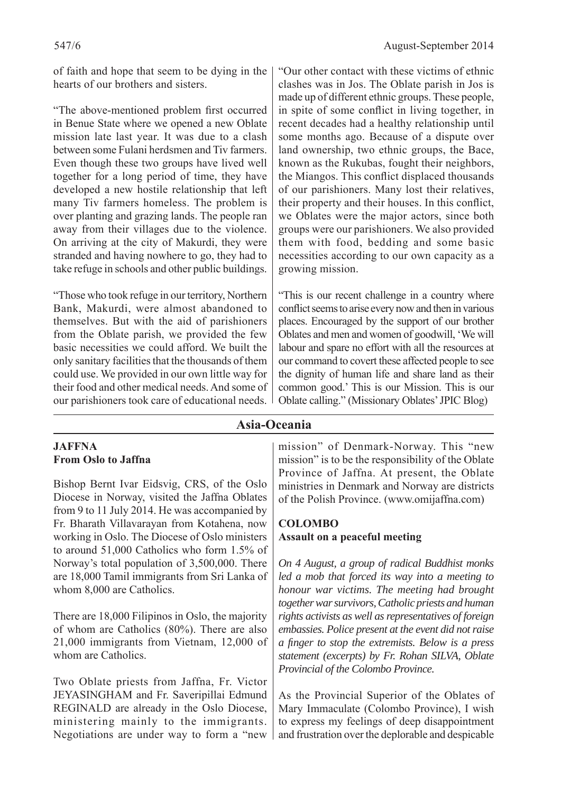of faith and hope that seem to be dying in the hearts of our brothers and sisters.

"The above-mentioned problem first occurred in Benue State where we opened a new Oblate mission late last year. It was due to a clash between some Fulani herdsmen and Tiv farmers. Even though these two groups have lived well together for a long period of time, they have developed a new hostile relationship that left many Tiv farmers homeless. The problem is over planting and grazing lands. The people ran away from their villages due to the violence. On arriving at the city of Makurdi, they were stranded and having nowhere to go, they had to take refuge in schools and other public buildings.

"Those who took refuge in our territory, Northern Bank, Makurdi, were almost abandoned to themselves. But with the aid of parishioners from the Oblate parish, we provided the few basic necessities we could afford. We built the only sanitary facilities that the thousands of them could use. We provided in our own little way for their food and other medical needs. And some of our parishioners took care of educational needs.

"Our other contact with these victims of ethnic clashes was in Jos. The Oblate parish in Jos is made up of different ethnic groups. These people, in spite of some conflict in living together, in recent decades had a healthy relationship until some months ago. Because of a dispute over land ownership, two ethnic groups, the Bace, known as the Rukubas, fought their neighbors, the Miangos. This conflict displaced thousands of our parishioners. Many lost their relatives, their property and their houses. In this conflict, we Oblates were the major actors, since both groups were our parishioners. We also provided them with food, bedding and some basic necessities according to our own capacity as a growing mission.

"This is our recent challenge in a country where conflict seems to arise every now and then in various places. Encouraged by the support of our brother Oblates and men and women of goodwill, 'We will labour and spare no effort with all the resources at our command to covert these affected people to see the dignity of human life and share land as their common good.' This is our Mission. This is our Oblate calling." (Missionary Oblates' JPIC Blog)

### **Asia-Oceania**

### **JAFFNA From Oslo to Jaffna**

Bishop Bernt Ivar Eidsvig, CRS, of the Oslo Diocese in Norway, visited the Jaffna Oblates from 9 to 11 July 2014. He was accompanied by Fr. Bharath Villavarayan from Kotahena, now working in Oslo. The Diocese of Oslo ministers to around 51,000 Catholics who form 1.5% of Norway's total population of 3,500,000. There are 18,000 Tamil immigrants from Sri Lanka of whom 8,000 are Catholics.

There are 18,000 Filipinos in Oslo, the majority of whom are Catholics (80%). There are also 21,000 immigrants from Vietnam, 12,000 of whom are Catholics.

Two Oblate priests from Jaffna, Fr. Victor JEYASINGHAM and Fr. Saveripillai Edmund REGINALD are already in the Oslo Diocese, ministering mainly to the immigrants. Negotiations are under way to form a "new

mission" of Denmark-Norway. This "new mission" is to be the responsibility of the Oblate Province of Jaffna. At present, the Oblate ministries in Denmark and Norway are districts of the Polish Province. (www.omijaffna.com)

### **COLOMBO Assault on a peaceful meeting**

*On 4 August, a group of radical Buddhist monks led a mob that forced its way into a meeting to honour war victims. The meeting had brought together war survivors, Catholic priests and human rights activists as well as representatives of foreign embassies. Police present at the event did not raise a fi nger to stop the extremists. Below is a press statement (excerpts) by Fr. Rohan SILVA, Oblate Provincial of the Colombo Province.*

As the Provincial Superior of the Oblates of Mary Immaculate (Colombo Province), I wish to express my feelings of deep disappointment and frustration over the deplorable and despicable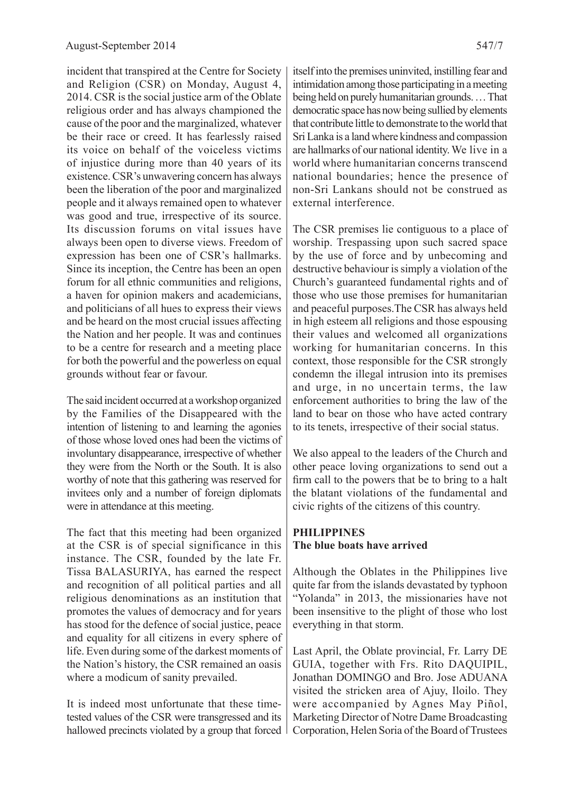incident that transpired at the Centre for Society and Religion (CSR) on Monday, August 4, 2014. CSR is the social justice arm of the Oblate religious order and has always championed the cause of the poor and the marginalized, whatever be their race or creed. It has fearlessly raised its voice on behalf of the voiceless victims of injustice during more than 40 years of its existence. CSR's unwavering concern has always been the liberation of the poor and marginalized people and it always remained open to whatever was good and true, irrespective of its source. Its discussion forums on vital issues have always been open to diverse views. Freedom of expression has been one of CSR's hallmarks. Since its inception, the Centre has been an open forum for all ethnic communities and religions, a haven for opinion makers and academicians, and politicians of all hues to express their views and be heard on the most crucial issues affecting the Nation and her people. It was and continues to be a centre for research and a meeting place for both the powerful and the powerless on equal grounds without fear or favour.

The said incident occurred at a workshop organized by the Families of the Disappeared with the intention of listening to and learning the agonies of those whose loved ones had been the victims of involuntary disappearance, irrespective of whether they were from the North or the South. It is also worthy of note that this gathering was reserved for invitees only and a number of foreign diplomats were in attendance at this meeting.

The fact that this meeting had been organized at the CSR is of special significance in this instance. The CSR, founded by the late Fr. Tissa BALASURIYA, has earned the respect and recognition of all political parties and all religious denominations as an institution that promotes the values of democracy and for years has stood for the defence of social justice, peace and equality for all citizens in every sphere of life. Even during some of the darkest moments of the Nation's history, the CSR remained an oasis where a modicum of sanity prevailed.

It is indeed most unfortunate that these timetested values of the CSR were transgressed and its hallowed precincts violated by a group that forced

itself into the premises uninvited, instilling fear and intimidation among those participating in a meeting being held on purely humanitarian grounds. … That democratic space has now being sullied by elements that contribute little to demonstrate to the world that Sri Lanka is a land where kindness and compassion are hallmarks of our national identity. We live in a world where humanitarian concerns transcend national boundaries; hence the presence of non-Sri Lankans should not be construed as external interference.

The CSR premises lie contiguous to a place of worship. Trespassing upon such sacred space by the use of force and by unbecoming and destructive behaviour is simply a violation of the Church's guaranteed fundamental rights and of those who use those premises for humanitarian and peaceful purposes.The CSR has always held in high esteem all religions and those espousing their values and welcomed all organizations working for humanitarian concerns. In this context, those responsible for the CSR strongly condemn the illegal intrusion into its premises and urge, in no uncertain terms, the law enforcement authorities to bring the law of the land to bear on those who have acted contrary to its tenets, irrespective of their social status.

We also appeal to the leaders of the Church and other peace loving organizations to send out a firm call to the powers that be to bring to a halt the blatant violations of the fundamental and civic rights of the citizens of this country.

#### **PHILIPPINES The blue boats have arrived**

Although the Oblates in the Philippines live quite far from the islands devastated by typhoon "Yolanda" in 2013, the missionaries have not been insensitive to the plight of those who lost everything in that storm.

Last April, the Oblate provincial, Fr. Larry DE GUIA, together with Frs. Rito DAQUIPIL, Jonathan DOMINGO and Bro. Jose ADUANA visited the stricken area of Ajuy, Iloilo. They were accompanied by Agnes May Piñol, Marketing Director of Notre Dame Broadcasting Corporation, Helen Soria of the Board of Trustees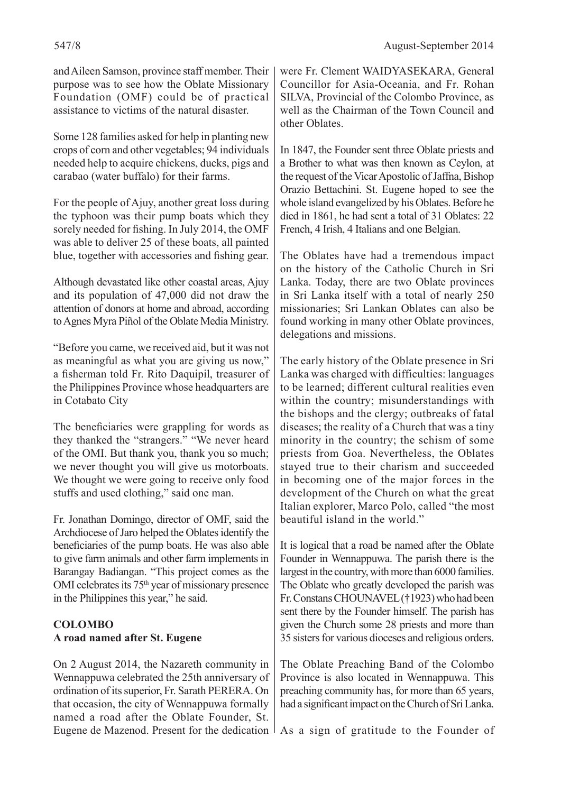and Aileen Samson, province staff member. Their purpose was to see how the Oblate Missionary Foundation (OMF) could be of practical assistance to victims of the natural disaster.

Some 128 families asked for help in planting new crops of corn and other vegetables; 94 individuals needed help to acquire chickens, ducks, pigs and carabao (water buffalo) for their farms.

For the people of Ajuy, another great loss during the typhoon was their pump boats which they sorely needed for fishing. In July 2014, the OMF was able to deliver 25 of these boats, all painted blue, together with accessories and fishing gear.

Although devastated like other coastal areas, Ajuy and its population of 47,000 did not draw the attention of donors at home and abroad, according to Agnes Myra Piñol of the Oblate Media Ministry.

"Before you came, we received aid, but it was not as meaningful as what you are giving us now," a fisherman told Fr. Rito Daquipil, treasurer of the Philippines Province whose headquarters are in Cotabato City

The beneficiaries were grappling for words as they thanked the "strangers." "We never heard of the OMI. But thank you, thank you so much; we never thought you will give us motorboats. We thought we were going to receive only food stuffs and used clothing," said one man.

Fr. Jonathan Domingo, director of OMF, said the Archdiocese of Jaro helped the Oblates identify the beneficiaries of the pump boats. He was also able to give farm animals and other farm implements in Barangay Badiangan. "This project comes as the OMI celebrates its 75<sup>th</sup> year of missionary presence in the Philippines this year," he said.

### **COLOMBO A road named after St. Eugene**

On 2 August 2014, the Nazareth community in Wennappuwa celebrated the 25th anniversary of ordination of its superior, Fr. Sarath PERERA. On that occasion, the city of Wennappuwa formally named a road after the Oblate Founder, St. Eugene de Mazenod. Present for the dedication As a sign of gratitude to the Founder of

were Fr. Clement WAIDYASEKARA, General Councillor for Asia-Oceania, and Fr. Rohan SILVA, Provincial of the Colombo Province, as well as the Chairman of the Town Council and other Oblates.

In 1847, the Founder sent three Oblate priests and a Brother to what was then known as Ceylon, at the request of the Vicar Apostolic of Jaffna, Bishop Orazio Bettachini. St. Eugene hoped to see the whole island evangelized by his Oblates. Before he died in 1861, he had sent a total of 31 Oblates: 22 French, 4 Irish, 4 Italians and one Belgian.

The Oblates have had a tremendous impact on the history of the Catholic Church in Sri Lanka. Today, there are two Oblate provinces in Sri Lanka itself with a total of nearly 250 missionaries; Sri Lankan Oblates can also be found working in many other Oblate provinces, delegations and missions.

The early history of the Oblate presence in Sri Lanka was charged with difficulties: languages to be learned; different cultural realities even within the country; misunderstandings with the bishops and the clergy; outbreaks of fatal diseases; the reality of a Church that was a tiny minority in the country; the schism of some priests from Goa. Nevertheless, the Oblates stayed true to their charism and succeeded in becoming one of the major forces in the development of the Church on what the great Italian explorer, Marco Polo, called "the most beautiful island in the world."

It is logical that a road be named after the Oblate Founder in Wennappuwa. The parish there is the largest in the country, with more than 6000 families. The Oblate who greatly developed the parish was Fr. Constans CHOUNAVEL (†1923) who had been sent there by the Founder himself. The parish has given the Church some 28 priests and more than 35 sisters for various dioceses and religious orders.

The Oblate Preaching Band of the Colombo Province is also located in Wennappuwa. This preaching community has, for more than 65 years, had a significant impact on the Church of Sri Lanka.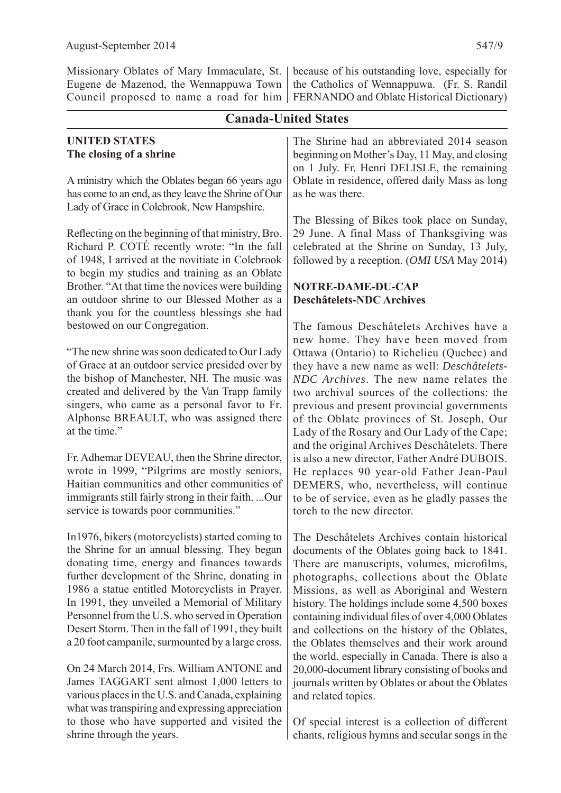Missionary Oblates of Mary Immaculate, St. Eugene de Mazenod, the Wennappuwa Town

#### **UNITED STATES The closing of a shrine**

**Canada-United States** A ministry which the Oblates began 66 years ago has come to an end, as they leave the Shrine of Our Lady of Grace in Colebrook, New Hampshire. Reflecting on the beginning of that ministry, Bro. Richard P. COTÉ recently wrote: "In the fall of 1948, I arrived at the novitiate in Colebrook to begin my studies and training as an Oblate Brother. "At that time the novices were building an outdoor shrine to our Blessed Mother as a thank you for the countless blessings she had bestowed on our Congregation. "The new shrine was soon dedicated to Our Lady of Grace at an outdoor service presided over by the bishop of Manchester, NH. The music was created and delivered by the Van Trapp family singers, who came as a personal favor to Fr. Alphonse BREAULT, who was assigned there at the time." Fr. Adhemar DEVEAU, then the Shrine director, wrote in 1999, "Pilgrims are mostly seniors, Haitian communities and other communities of immigrants still fairly strong in their faith. ...Our service is towards poor communities." In1976, bikers (motorcyclists) started coming to the Shrine for an annual blessing. They began donating time, energy and finances towards further development of the Shrine, donating in 1986 a statue entitled Motorcyclists in Prayer. In 1991, they unveiled a Memorial of Military Personnel from the U.S. who served in Operation Desert Storm. Then in the fall of 1991, they built a 20 foot campanile, surmounted by a large cross. The Shrine had an abbreviated 2014 season beginning on Mother's Day, 11 May, and closing on 1 July. Fr. Henri DELISLE, the remaining Oblate in residence, offered daily Mass as long as he was there. The Blessing of Bikes took place on Sunday, 29 June. A final Mass of Thanksgiving was celebrated at the Shrine on Sunday, 13 July, followed by a reception. (*OMI USA* May 2014) **NOTRE-DAME-DU-CAP Deschâtelets-NDC Archives** The famous Deschâtelets Archives have a new home. They have been moved from Ottawa (Ontario) to Richelieu (Quebec) and they have a new name as well: *Deschâtelets-NDC Archives*. The new name relates the two archival sources of the collections: the previous and present provincial governments of the Oblate provinces of St. Joseph, Our Lady of the Rosary and Our Lady of the Cape; and the original Archives Deschâtelets. There is also a new director, Father André DUBOIS. He replaces 90 year-old Father Jean-Paul DEMERS, who, nevertheless, will continue to be of service, even as he gladly passes the torch to the new director. The Deschâtelets Archives contain historical documents of the Oblates going back to 1841. There are manuscripts, volumes, microfilms, photographs, collections about the Oblate Missions, as well as Aboriginal and Western history. The holdings include some 4,500 boxes containing individual files of over 4,000 Oblates and collections on the history of the Oblates, the Oblates themselves and their work around the world, especially in Canada. There is also a 20,000-document library consisting of books and

On 24 March 2014, Frs. William ANTONE and James TAGGART sent almost 1,000 letters to various places in the U.S. and Canada, explaining what was transpiring and expressing appreciation to those who have supported and visited the shrine through the years.

Council proposed to name a road for him FERNANDO and Oblate Historical Dictionary) because of his outstanding love, especially for the Catholics of Wennappuwa. (Fr. S. Randil

journals written by Oblates or about the Oblates

Of special interest is a collection of different chants, religious hymns and secular songs in the

and related topics.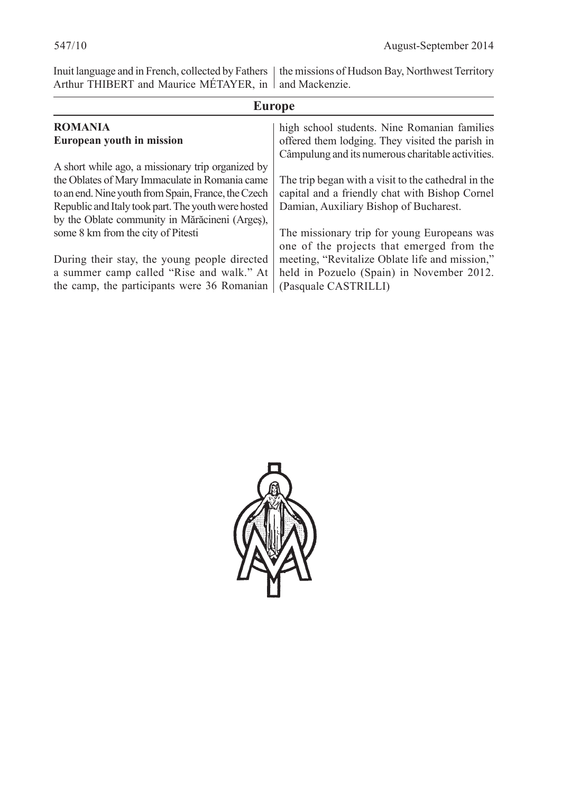Inuit language and in French, collected by Fathers Arthur THIBERT and Maurice MÉTAYER, in the missions of Hudson Bay, Northwest Territory and Mackenzie.

| <b>Europe</b>                                       |                                                                                                       |  |  |
|-----------------------------------------------------|-------------------------------------------------------------------------------------------------------|--|--|
| <b>ROMANIA</b>                                      | high school students. Nine Romanian families                                                          |  |  |
| European youth in mission                           | offered them lodging. They visited the parish in<br>Câmpulung and its numerous charitable activities. |  |  |
| A short while ago, a missionary trip organized by   |                                                                                                       |  |  |
| the Oblates of Mary Immaculate in Romania came      | The trip began with a visit to the cathedral in the                                                   |  |  |
| to an end. Nine youth from Spain, France, the Czech | capital and a friendly chat with Bishop Cornel                                                        |  |  |
| Republic and Italy took part. The youth were hosted | Damian, Auxiliary Bishop of Bucharest.                                                                |  |  |
| by the Oblate community in Mărăcineni (Arges),      |                                                                                                       |  |  |
| some 8 km from the city of Pitesti                  | The missionary trip for young Europeans was<br>one of the projects that emerged from the              |  |  |
| During their stay, the young people directed        | meeting, "Revitalize Oblate life and mission,"                                                        |  |  |
| a summer camp called "Rise and walk." At            | held in Pozuelo (Spain) in November 2012.                                                             |  |  |
| the camp, the participants were 36 Romanian         | (Pasquale CASTRILLI)                                                                                  |  |  |

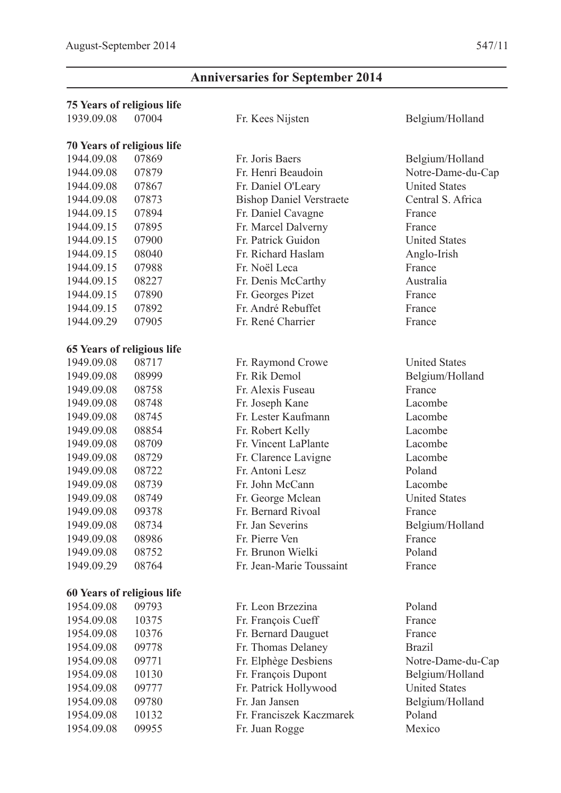## **Anniversaries for September 2014**

| <b>75 Years of religious life</b> |       |                                 |                      |
|-----------------------------------|-------|---------------------------------|----------------------|
| 1939.09.08                        | 07004 | Fr. Kees Nijsten                | Belgium/Holland      |
| <b>70 Years of religious life</b> |       |                                 |                      |
| 1944.09.08                        | 07869 | Fr. Joris Baers                 | Belgium/Holland      |
| 1944.09.08                        | 07879 | Fr. Henri Beaudoin              | Notre-Dame-du-Cap    |
| 1944.09.08                        | 07867 | Fr. Daniel O'Leary              | <b>United States</b> |
| 1944.09.08                        | 07873 | <b>Bishop Daniel Verstraete</b> | Central S. Africa    |
| 1944.09.15                        | 07894 | Fr. Daniel Cavagne              | France               |
| 1944.09.15                        | 07895 | Fr. Marcel Dalverny             | France               |
| 1944.09.15                        | 07900 | Fr. Patrick Guidon              | <b>United States</b> |
| 1944.09.15                        | 08040 | Fr. Richard Haslam              | Anglo-Irish          |
| 1944.09.15                        | 07988 | Fr. Noël Leca                   | France               |
| 1944.09.15                        | 08227 | Fr. Denis McCarthy              | Australia            |
| 1944.09.15                        | 07890 | Fr. Georges Pizet               | France               |
| 1944.09.15                        | 07892 | Fr. André Rebuffet              | France               |
| 1944.09.29                        | 07905 | Fr. René Charrier               | France               |
| 65 Years of religious life        |       |                                 |                      |
| 1949.09.08                        | 08717 | Fr. Raymond Crowe               | <b>United States</b> |
| 1949.09.08                        | 08999 | Fr. Rik Demol                   | Belgium/Holland      |
| 1949.09.08                        | 08758 | Fr. Alexis Fuseau               | France               |
| 1949.09.08                        | 08748 | Fr. Joseph Kane                 | Lacombe              |
| 1949.09.08                        | 08745 | Fr. Lester Kaufmann             | Lacombe              |
| 1949.09.08                        | 08854 | Fr. Robert Kelly                | Lacombe              |
| 1949.09.08                        | 08709 | Fr. Vincent LaPlante            | Lacombe              |
| 1949.09.08                        | 08729 | Fr. Clarence Lavigne            | Lacombe              |
| 1949.09.08                        | 08722 | Fr. Antoni Lesz                 | Poland               |
| 1949.09.08                        | 08739 | Fr. John McCann                 | Lacombe              |
| 1949.09.08                        | 08749 | Fr. George Mclean               | <b>United States</b> |
| 1949.09.08                        | 09378 | Fr. Bernard Rivoal              | France               |
| 1949.09.08                        | 08734 | Fr. Jan Severins                | Belgium/Holland      |
| 1949.09.08                        | 08986 | Fr. Pierre Ven                  | France               |
| 1949.09.08                        | 08752 | Fr. Brunon Wielki               | Poland               |
| 1949.09.29                        | 08764 | Fr. Jean-Marie Toussaint        | France               |
| 60 Years of religious life        |       |                                 |                      |
| 1954.09.08                        | 09793 | Fr. Leon Brzezina               | Poland               |
| 1954.09.08                        | 10375 | Fr. François Cueff              | France               |
| 1954.09.08                        | 10376 | Fr. Bernard Dauguet             | France               |
| 1954.09.08                        | 09778 | Fr. Thomas Delaney              | <b>Brazil</b>        |
| 1954.09.08                        | 09771 | Fr. Elphège Desbiens            | Notre-Dame-du-Cap    |
| 1954.09.08                        | 10130 | Fr. François Dupont             | Belgium/Holland      |
| 1954.09.08                        | 09777 | Fr. Patrick Hollywood           | <b>United States</b> |
| 1954.09.08                        | 09780 | Fr. Jan Jansen                  | Belgium/Holland      |
| 1954.09.08                        | 10132 | Fr. Franciszek Kaczmarek        | Poland               |
| 1954.09.08                        | 09955 | Fr. Juan Rogge                  | Mexico               |
|                                   |       |                                 |                      |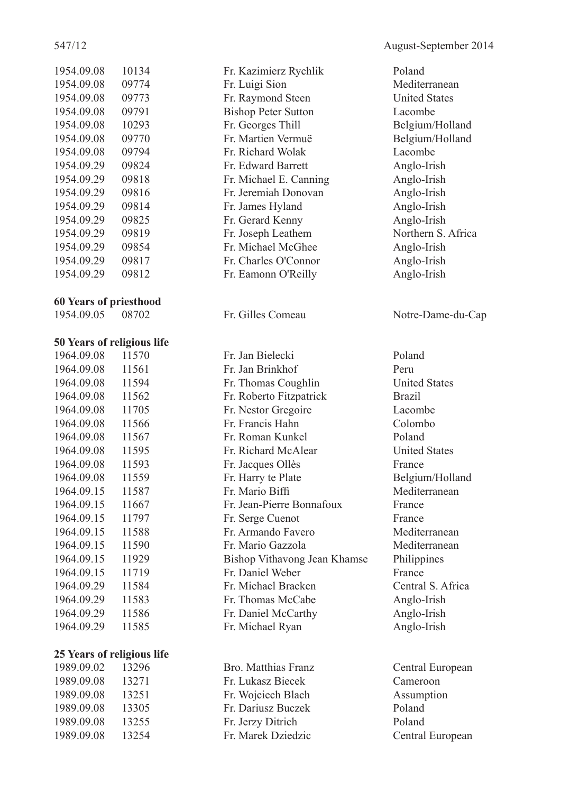| 1954.09.08 | 10134 |
|------------|-------|
| 1954.09.08 | 09774 |
| 1954.09.08 | 09773 |
| 1954.09.08 | 09791 |
| 1954.09.08 | 10293 |
| 1954.09.08 | 09770 |
| 1954.09.08 | 09794 |
| 1954.09.29 | 09824 |
| 1954.09.29 | 09818 |
| 1954.09.29 | 09816 |
| 1954.09.29 | 09814 |
| 1954.09.29 | 09825 |
| 1954.09.29 | 09819 |
| 1954.09.29 | 09854 |
| 1954.09.29 | 09817 |
| 1954.09.29 | 09812 |

#### **60 Years of priesthood**

1954.09.05 08702 Fr. Gilles Comeau Notre-Dame-du-Cap

#### **50 Years of religious life**

| 1964.09.08 | 11570 |
|------------|-------|
| 1964.09.08 | 11561 |
| 1964.09.08 | 11594 |
| 1964.09.08 | 11562 |
| 1964.09.08 | 11705 |
| 1964.09.08 | 11566 |
| 1964.09.08 | 11567 |
| 1964.09.08 | 11595 |
| 1964.09.08 | 11593 |
| 1964.09.08 | 11559 |
| 1964.09.15 | 11587 |
| 1964.09.15 | 11667 |
| 1964.09.15 | 11797 |
| 1964.09.15 | 11588 |
| 1964.09.15 | 11590 |
| 1964.09.15 | 11929 |
| 1964.09.15 | 11719 |
| 1964.09.29 | 11584 |
| 1964.09.29 | 11583 |
| 1964.09.29 | 11586 |
| 1964.09.29 | 11585 |

#### **25 Years of religious life**

1989.09.08 13271 Fr. Lukasz Biecek Cameroon 1989.09.08 13251 Fr. Wojciech Blach Assumption 1989.09.08 13305 Fr. Dariusz Buczek Poland 1989.09.08 13255 Fr. Jerzy Ditrich Poland 1989.09.08 13254 Fr. Marek Dziedzic Central European

1954.09.08 10134 Fr. Kazimierz Rychlik Poland Fr. Luigi Sion Mediterranean 1954. Fr. Raymond Steen United States 1954.09.1991 Bishop Peter Sutton Lacombe Fr. Georges Thill Belgium/Holland 1954.09.08 09770 Fr. Martien Vermuë Belgium/Holland 1954. Fr. Richard Wolak Lacombe 1954.09.29 09824 Fr. Edward Barrett Anglo-Irish Fr. Michael E. Canning Anglo-Irish 1954.09.29 09816 Fr. Jeremiah Donovan Anglo-Irish Fr. James Hyland Anglo-Irish Fr. Gerard Kenny Anglo-Irish Fr. Joseph Leathem Northern S. Africa 1954.09.29 09854 Fr. Michael McGhee Anglo-Irish 1954.09.29 09817 Fr. Charles O'Connor Anglo-Irish 1954.09.29 09812 Fr. Eamonn O'Reilly Anglo-Irish

1964.09.08 11570 Fr. Jan Bielecki Poland 1964.09.08 11561 Fr. Jan Brinkhof Peru Fr. Thomas Coughlin United States 1964.09.08 11562 Fr. Roberto Fitzpatrick Brazil Fr. Nestor Gregoire Lacombe 1964.09.08 11566 Fr. Francis Hahn Colombo 1964.09.08 11567 Fr. Roman Kunkel Poland Fr. Richard McAlear United States Fr. Jacques Ollès France Fr. Harry te Plate Belgium/Holland Fr. Mario Biffi Mediterranean 1964.09.15 11667 Fr. Jean-Pierre Bonnafoux France Fr. Serge Cuenot France 1964.09.15 11588 Fr. Armando Favero Mediterranean Fr. Mario Gazzola Mediterranean 1964.09.15 11929 Bishop Vithavong Jean Khamse Philippines 1964. Fr. Daniel Weber France 1964.09.29 11584 Fr. Michael Bracken Central S. Africa Fr. Thomas McCabe Anglo-Irish Fr. Daniel McCarthy Anglo-Irish 1964.09.29 11585 Fr. Michael Ryan Anglo-Irish

1989.09.02 13296 Bro. Matthias Franz Central European

547/12 August-September 2014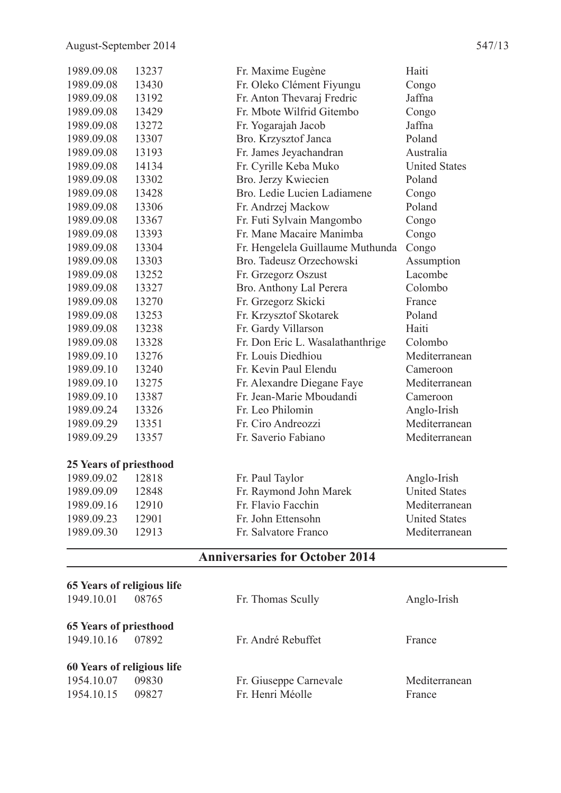| 1989.09.08             | 13237 | Fr. Maxime Eugène                | Haiti                |
|------------------------|-------|----------------------------------|----------------------|
| 1989.09.08             | 13430 | Fr. Oleko Clément Fiyungu        | Congo                |
| 1989.09.08             | 13192 | Fr. Anton Thevaraj Fredric       | Jaffna               |
| 1989.09.08             | 13429 | Fr. Mbote Wilfrid Gitembo        | Congo                |
| 1989.09.08             | 13272 | Fr. Yogarajah Jacob              | Jaffna               |
| 1989.09.08             | 13307 | Bro. Krzysztof Janca             | Poland               |
| 1989.09.08             | 13193 | Fr. James Jeyachandran           | Australia            |
| 1989.09.08             | 14134 | Fr. Cyrille Keba Muko            | <b>United States</b> |
| 1989.09.08             | 13302 | Bro. Jerzy Kwiecien              | Poland               |
| 1989.09.08             | 13428 | Bro. Ledie Lucien Ladiamene      | Congo                |
| 1989.09.08             | 13306 | Fr. Andrzej Mackow               | Poland               |
| 1989.09.08             | 13367 | Fr. Futi Sylvain Mangombo        | Congo                |
| 1989.09.08             | 13393 | Fr. Mane Macaire Manimba         | Congo                |
| 1989.09.08             | 13304 | Fr. Hengelela Guillaume Muthunda | Congo                |
| 1989.09.08             | 13303 | Bro. Tadeusz Orzechowski         | Assumption           |
| 1989.09.08             | 13252 | Fr. Grzegorz Oszust              | Lacombe              |
| 1989.09.08             | 13327 | Bro. Anthony Lal Perera          | Colombo              |
| 1989.09.08             | 13270 | Fr. Grzegorz Skicki              | France               |
| 1989.09.08             | 13253 | Fr. Krzysztof Skotarek           | Poland               |
| 1989.09.08             | 13238 | Fr. Gardy Villarson              | Haiti                |
| 1989.09.08             | 13328 | Fr. Don Eric L. Wasalathanthrige | Colombo              |
| 1989.09.10             | 13276 | Fr. Louis Diedhiou               | Mediterranean        |
| 1989.09.10             | 13240 | Fr. Kevin Paul Elendu            | Cameroon             |
| 1989.09.10             | 13275 | Fr. Alexandre Diegane Faye       | Mediterranean        |
| 1989.09.10             | 13387 | Fr. Jean-Marie Mboudandi         | Cameroon             |
| 1989.09.24             | 13326 | Fr. Leo Philomin                 | Anglo-Irish          |
| 1989.09.29             | 13351 | Fr. Ciro Andreozzi               | Mediterranean        |
| 1989.09.29             | 13357 | Fr. Saverio Fabiano              | Mediterranean        |
| 25 Years of priesthood |       |                                  |                      |
| 1989.09.02             | 12818 | Fr. Paul Taylor                  | Anglo-Irish          |
| 1989.09.09             | 12848 | Fr. Raymond John Marek           | <b>United States</b> |
| 1989.09.16             | 12910 | Fr. Flavio Facchin               | Mediterranean        |
| 1989.09.23             | 12901 | Fr. John Ettensohn               | <b>United States</b> |

## **Anniversaries for October 2014**

1989.09.30 12913 Fr. Salvatore Franco Mediterranean

|                               | 65 Years of religious life |                        |               |
|-------------------------------|----------------------------|------------------------|---------------|
| 1949.10.01                    | 08765                      | Fr. Thomas Scully      | Anglo-Irish   |
| <b>65 Years of priesthood</b> |                            |                        |               |
| 1949.10.16                    | 07892                      | Fr. André Rebuffet     | France        |
|                               | 60 Years of religious life |                        |               |
| 1954.10.07                    | 09830                      | Fr. Giuseppe Carnevale | Mediterranean |
| 1954.10.15                    | 09827                      | Fr. Henri Méolle       | France        |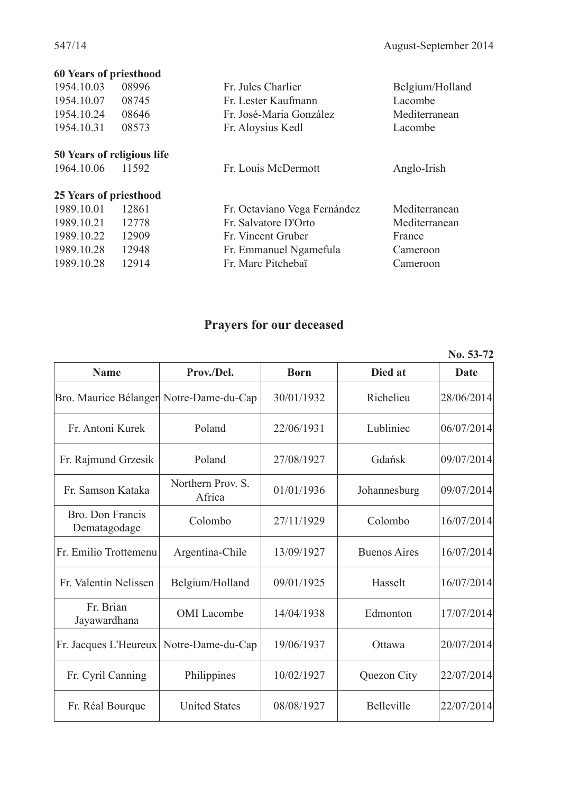| 60 Years of priesthood     |       |                              |                 |
|----------------------------|-------|------------------------------|-----------------|
| 1954.10.03                 | 08996 | Fr. Jules Charlier           | Belgium/Holland |
| 1954.10.07                 | 08745 | Fr. Lester Kaufmann          | Lacombe         |
| 1954.10.24                 | 08646 | Fr. José-Maria González      | Mediterranean   |
| 1954.10.31                 | 08573 | Fr. Aloysius Kedl            | Lacombe         |
| 50 Years of religious life |       |                              |                 |
| 1964.10.06                 | 11592 | Fr. Louis McDermott          | Anglo-Irish     |
| 25 Years of priesthood     |       |                              |                 |
| 1989.10.01                 | 12861 | Fr. Octaviano Vega Fernández | Mediterranean   |
| 1989.10.21                 | 12778 | Fr. Salvatore D'Orto         | Mediterranean   |
| 1989.10.22                 | 12909 | Fr. Vincent Gruber           | France          |
| 1989.10.28                 | 12948 | Fr. Emmanuel Ngamefula       | Cameroon        |
| 1989.10.28                 | 12914 | Fr. Marc Pitchebaï           | Cameroon        |
|                            |       |                              |                 |

## **Prayers for our deceased**

|                                         |                             |             |                     | INO. 33-72  |
|-----------------------------------------|-----------------------------|-------------|---------------------|-------------|
| <b>Name</b>                             | Prov./Del.                  | <b>Born</b> | Died at             | <b>Date</b> |
| Bro. Maurice Bélanger Notre-Dame-du-Cap |                             | 30/01/1932  | Richelieu           | 28/06/2014  |
| Fr. Antoni Kurek                        | Poland                      | 22/06/1931  | Lubliniec           | 06/07/2014  |
| Fr. Rajmund Grzesik                     | Poland                      | 27/08/1927  | Gdańsk              | 09/07/2014  |
| Fr. Samson Kataka                       | Northern Prov. S.<br>Africa | 01/01/1936  | Johannesburg        | 09/07/2014  |
| Bro. Don Francis<br>Dematagodage        | Colombo                     | 27/11/1929  | Colombo             | 16/07/2014  |
| Fr. Emilio Trottemenu                   | Argentina-Chile             | 13/09/1927  | <b>Buenos Aires</b> | 16/07/2014  |
| Fr. Valentin Nelissen                   | Belgium/Holland             | 09/01/1925  | Hasselt             | 16/07/2014  |
| Fr. Brian<br>Jayawardhana               | <b>OMI</b> Lacombe          | 14/04/1938  | Edmonton            | 17/07/2014  |
| Fr. Jacques L'Heureux                   | Notre-Dame-du-Cap           | 19/06/1937  | Ottawa              | 20/07/2014  |
| Fr. Cyril Canning                       | Philippines                 | 10/02/1927  | Quezon City         | 22/07/2014  |
| Fr. Réal Bourque                        | <b>United States</b>        | 08/08/1927  | Belleville          | 22/07/2014  |

**No. 53-72**